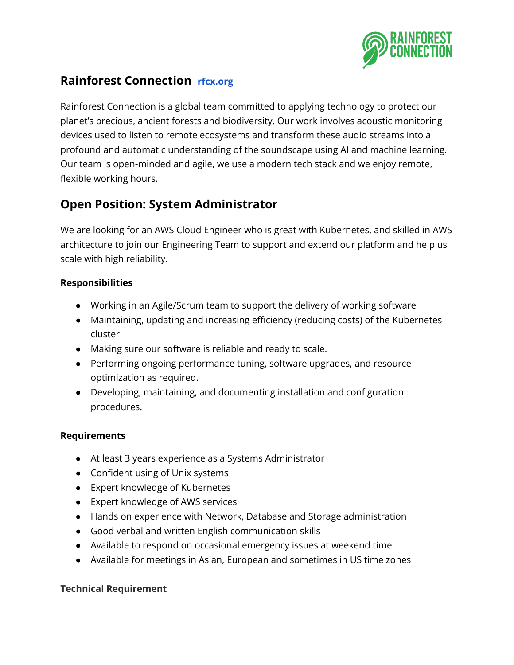

## **Rainforest Connection [rfcx.org](http://rfcx.org/)**

Rainforest Connection is a global team committed to applying technology to protect our planet's precious, ancient forests and biodiversity. Our work involves acoustic monitoring devices used to listen to remote ecosystems and transform these audio streams into a profound and automatic understanding of the soundscape using AI and machine learning. Our team is open-minded and agile, we use a modern tech stack and we enjoy remote, flexible working hours.

# **Open Position: System Administrator**

We are looking for an AWS Cloud Engineer who is great with Kubernetes, and skilled in AWS architecture to join our Engineering Team to support and extend our platform and help us scale with high reliability.

#### **Responsibilities**

- Working in an Agile/Scrum team to support the delivery of working software
- Maintaining, updating and increasing efficiency (reducing costs) of the Kubernetes cluster
- Making sure our software is reliable and ready to scale.
- Performing ongoing performance tuning, software upgrades, and resource optimization as required.
- Developing, maintaining, and documenting installation and configuration procedures.

### **Requirements**

- At least 3 years experience as a Systems Administrator
- Confident using of Unix systems
- Expert knowledge of Kubernetes
- Expert knowledge of AWS services
- Hands on experience with Network, Database and Storage administration
- Good verbal and written English communication skills
- Available to respond on occasional emergency issues at weekend time
- Available for meetings in Asian, European and sometimes in US time zones

### **Technical Requirement**